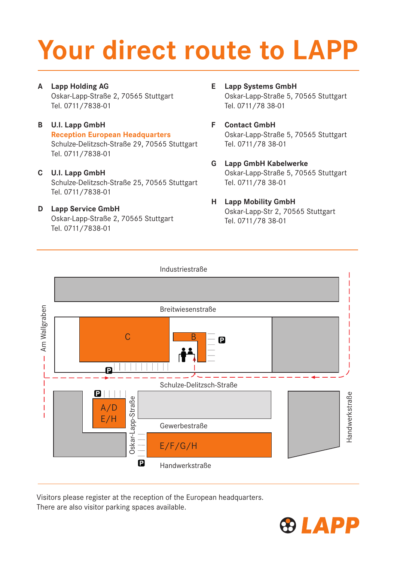# Your direct route to LAPP

A Lapp Holding AG

Oskar-Lapp-Straße 2, 70565 Stuttgart Tel. 0711/7838-01

- B U.I. Lapp GmbH Reception European Headquarters Schulze-Delitzsch-Straße 29, 70565 Stuttgart Tel. 0711/7838-01
- C U.I. Lapp GmbH Schulze-Delitzsch-Straße 25, 70565 Stuttgart Tel. 0711/7838-01
- D Lapp Service GmbH Oskar-Lapp-Straße 2, 70565 Stuttgart Tel. 0711/7838-01
- E Lapp Systems GmbH Oskar-Lapp-Straße 5, 70565 Stuttgart Tel. 0711/78 38-01
- F Contact GmbH Oskar-Lapp-Straße 5, 70565 Stuttgart Tel. 0711/78 38-01
- G Lapp GmbH Kabelwerke Oskar-Lapp-Straße 5, 70565 Stuttgart Tel. 0711/78 38-01
- H Lapp Mobility GmbH Oskar-Lapp-Str 2, 70565 Stuttgart Tel. 0711/78 38-01



Visitors please register at the reception of the European headquarters. There are also visitor parking spaces available.